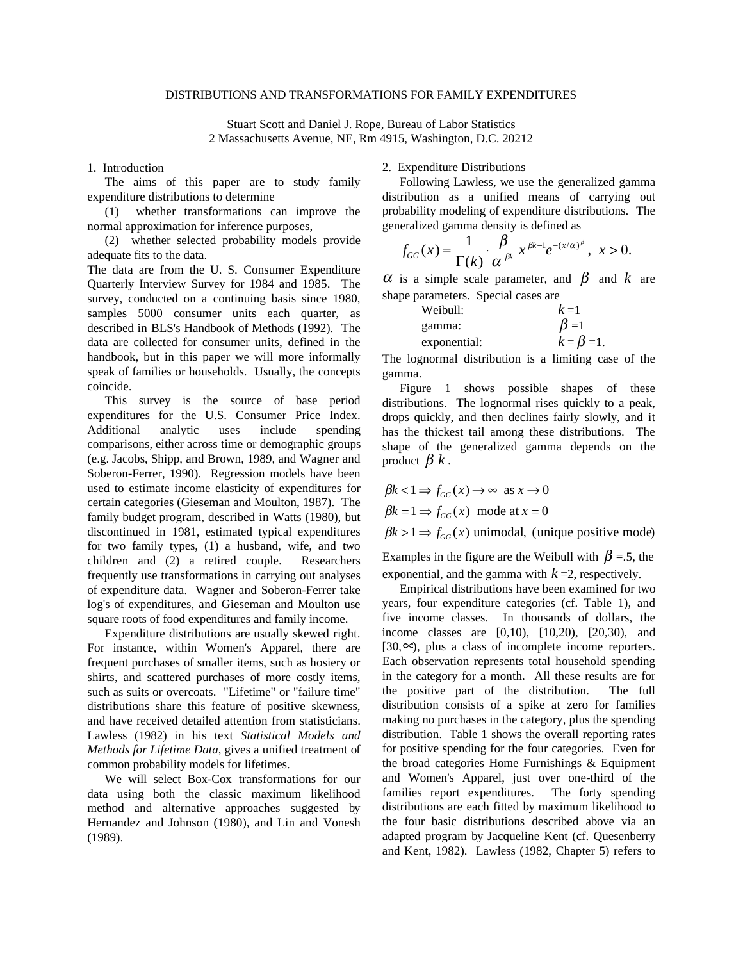#### DISTRIBUTIONS AND TRANSFORMATIONS FOR FAMILY EXPENDITURES

Stuart Scott and Daniel J. Rope, Bureau of Labor Statistics 2 Massachusetts Avenue, NE, Rm 4915, Washington, D.C. 20212

## 1. Introduction

The aims of this paper are to study family expenditure distributions to determine

(1) whether transformations can improve the normal approximation for inference purposes,

(2) whether selected probability models provide adequate fits to the data.

The data are from the U. S. Consumer Expenditure Quarterly Interview Survey for 1984 and 1985. The survey, conducted on a continuing basis since 1980, samples 5000 consumer units each quarter, as described in BLS's Handbook of Methods (1992). The data are collected for consumer units, defined in the handbook, but in this paper we will more informally speak of families or households. Usually, the concepts coincide.

This survey is the source of base period expenditures for the U.S. Consumer Price Index. Additional analytic uses include spending comparisons, either across time or demographic groups (e.g. Jacobs, Shipp, and Brown, 1989, and Wagner and Soberon-Ferrer, 1990). Regression models have been used to estimate income elasticity of expenditures for certain categories (Gieseman and Moulton, 1987). The family budget program, described in Watts (1980), but discontinued in 1981, estimated typical expenditures for two family types, (1) a husband, wife, and two children and (2) a retired couple. Researchers frequently use transformations in carrying out analyses of expenditure data. Wagner and Soberon-Ferrer take log's of expenditures, and Gieseman and Moulton use square roots of food expenditures and family income.

Expenditure distributions are usually skewed right. For instance, within Women's Apparel, there are frequent purchases of smaller items, such as hosiery or shirts, and scattered purchases of more costly items, such as suits or overcoats. "Lifetime" or "failure time" distributions share this feature of positive skewness, and have received detailed attention from statisticians. Lawless (1982) in his text *Statistical Models and Methods for Lifetime Data*, gives a unified treatment of common probability models for lifetimes.

We will select Box-Cox transformations for our data using both the classic maximum likelihood method and alternative approaches suggested by Hernandez and Johnson (1980), and Lin and Vonesh (1989).

2. Expenditure Distributions

Following Lawless, we use the generalized gamma distribution as a unified means of carrying out probability modeling of expenditure distributions. The generalized gamma density is defined as

$$
f_{GG}(x) = \frac{1}{\Gamma(k)} \cdot \frac{\beta}{\alpha^{\beta k}} x^{\beta k - 1} e^{-(x/\alpha)^{\beta}}, \quad x > 0.
$$

 $\alpha$  is a simple scale parameter, and  $\beta$  and  $k$  are shape parameters. Special cases are

| Weibull:     | $k=1$             |
|--------------|-------------------|
| gamma:       | $\beta=1$         |
| exponential: | $k = \beta = 1$ . |

The lognormal distribution is a limiting case of the gamma.

Figure 1 shows possible shapes of these distributions. The lognormal rises quickly to a peak, drops quickly, and then declines fairly slowly, and it has the thickest tail among these distributions. The shape of the generalized gamma depends on the product  $\beta$  *k*.

$$
\beta k < 1 \Rightarrow f_{GG}(x) \to \infty \text{ as } x \to 0
$$

 $\beta k = 1 \Rightarrow f_{GG}(x) \text{ mode at } x = 0$ 

 $\beta k > 1 \Rightarrow f_{GG}(x)$  unimodal, (unique positive mode)

Examples in the figure are the Weibull with  $\beta = 5$ , the exponential, and the gamma with  $k=2$ , respectively.

Empirical distributions have been examined for two years, four expenditure categories (cf. Table 1), and five income classes. In thousands of dollars, the income classes are [0,10), [10,20), [20,30), and  $[30, \infty)$ , plus a class of incomplete income reporters. Each observation represents total household spending in the category for a month. All these results are for the positive part of the distribution. The full distribution consists of a spike at zero for families making no purchases in the category, plus the spending distribution. Table 1 shows the overall reporting rates for positive spending for the four categories. Even for the broad categories Home Furnishings & Equipment and Women's Apparel, just over one-third of the families report expenditures. The forty spending distributions are each fitted by maximum likelihood to the four basic distributions described above via an adapted program by Jacqueline Kent (cf. Quesenberry and Kent, 1982). Lawless (1982, Chapter 5) refers to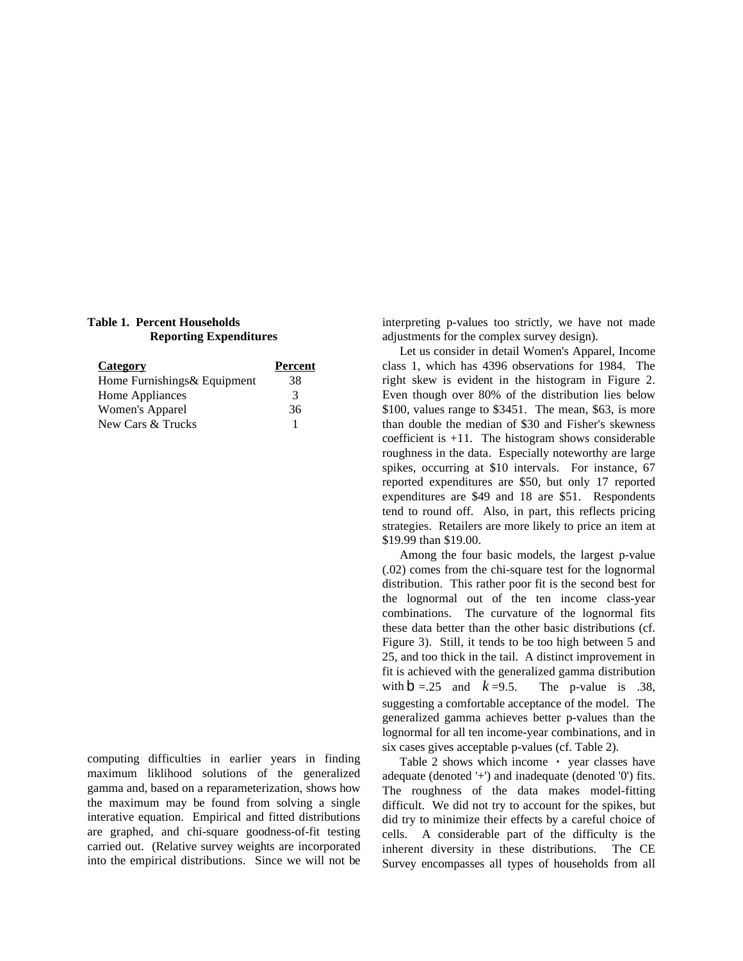# **Table 1. Percent Households Reporting Expenditures**

| Category                     | Percent |
|------------------------------|---------|
| Home Furnishings & Equipment | 38      |
| Home Appliances              | 3       |
| Women's Apparel              | 36      |
| New Cars & Trucks            |         |

computing difficulties in earlier years in finding maximum liklihood solutions of the generalized gamma and, based on a reparameterization, shows how the maximum may be found from solving a single interative equation. Empirical and fitted distributions are graphed, and chi-square goodness-of-fit testing carried out. (Relative survey weights are incorporated into the empirical distributions. Since we will not be interpreting p-values too strictly, we have not made adjustments for the complex survey design).

Let us consider in detail Women's Apparel, Income class 1, which has 4396 observations for 1984. The right skew is evident in the histogram in Figure 2. Even though over 80% of the distribution lies below \$100, values range to \$3451. The mean, \$63, is more than double the median of \$30 and Fisher's skewness coefficient is +11. The histogram shows considerable roughness in the data. Especially noteworthy are large spikes, occurring at \$10 intervals. For instance, 67 reported expenditures are \$50, but only 17 reported expenditures are \$49 and 18 are \$51. Respondents tend to round off. Also, in part, this reflects pricing strategies. Retailers are more likely to price an item at \$19.99 than \$19.00.

Among the four basic models, the largest p-value (.02) comes from the chi-square test for the lognormal distribution. This rather poor fit is the second best for the lognormal out of the ten income class-year combinations. The curvature of the lognormal fits these data better than the other basic distributions (cf. Figure 3). Still, it tends to be too high between 5 and 25, and too thick in the tail. A distinct improvement in fit is achieved with the generalized gamma distribution with  $b = .25$  and  $k = 9.5$ . The p-value is .38, suggesting a comfortable acceptance of the model. The generalized gamma achieves better p-values than the lognormal for all ten income-year combinations, and in six cases gives acceptable p-values (cf. Table 2).

Table 2 shows which income • year classes have adequate (denoted '+') and inadequate (denoted '0') fits. The roughness of the data makes model-fitting difficult. We did not try to account for the spikes, but did try to minimize their effects by a careful choice of cells. A considerable part of the difficulty is the inherent diversity in these distributions. The CE Survey encompasses all types of households from all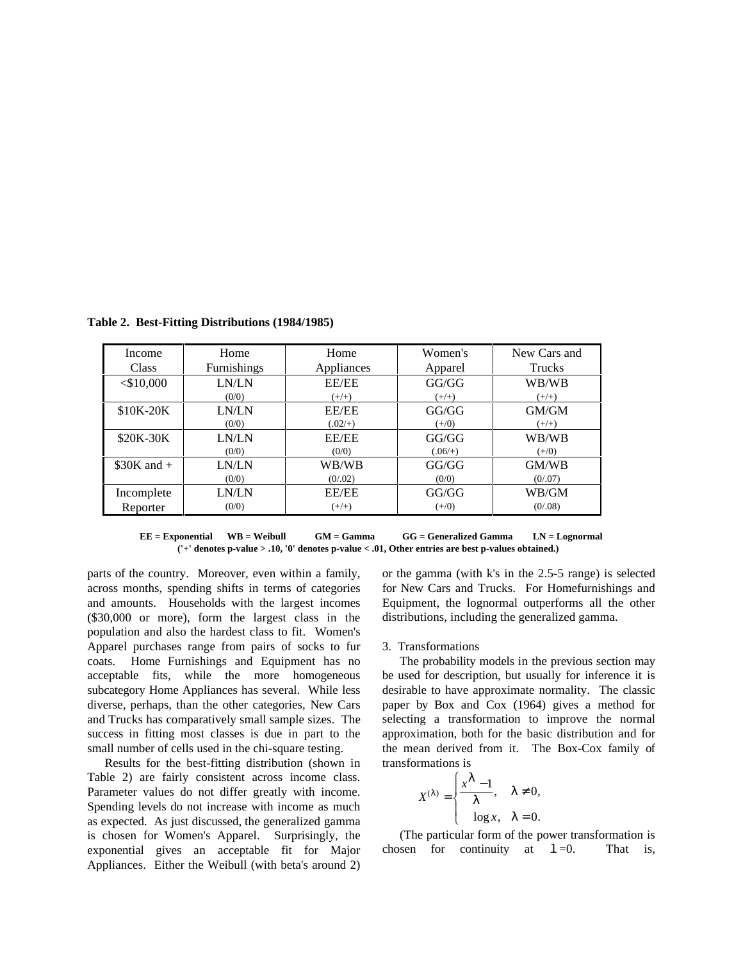| Income       | Home               | Home         | Women's   | New Cars and  |
|--------------|--------------------|--------------|-----------|---------------|
| Class        | <b>Furnishings</b> | Appliances   | Apparel   | <b>Trucks</b> |
| $<$ \$10,000 | LN/LN              | <b>EE/EE</b> | GG/GG     | WB/WB         |
|              | (0/0)              | $(+/+)$      | $(+/+)$   | $(+/+)$       |
| \$10K-20K    | LN/LN              | EE/EE        | GG/GG     | GM/GM         |
|              | (0/0)              | $(.02/+)$    | $(+/0)$   | $(+/+)$       |
| \$20K-30K    | LN/LN              | EE/EE        | GG/GG     | WB/WB         |
|              | (0/0)              | (0/0)        | $(.06/+)$ | $(+/0)$       |
| $$30K$ and + | LN/LN              | WB/WB        | GG/GG     | GM/WB         |
|              | (0/0)              | (0/0.02)     | (0/0)     | (0/0.07)      |
| Incomplete   | LN/LN              | EE/EE        | GG/GG     | WB/GM         |
| Reporter     | (0/0)              | $(+/+)$      | $(+/0)$   | (0/0.08)      |

**Table 2. Best-Fitting Distributions (1984/1985)**

**EE = Exponential WB = Weibull GM = Gamma GG = Generalized Gamma LN = Lognormal ('+' denotes p-value > .10, '0' denotes p-value < .01, Other entries are best p-values obtained.)**

parts of the country. Moreover, even within a family, across months, spending shifts in terms of categories and amounts. Households with the largest incomes (\$30,000 or more), form the largest class in the population and also the hardest class to fit. Women's Apparel purchases range from pairs of socks to fur coats. Home Furnishings and Equipment has no acceptable fits, while the more homogeneous subcategory Home Appliances has several. While less diverse, perhaps, than the other categories, New Cars and Trucks has comparatively small sample sizes. The success in fitting most classes is due in part to the small number of cells used in the chi-square testing.

Results for the best-fitting distribution (shown in Table 2) are fairly consistent across income class. Parameter values do not differ greatly with income. Spending levels do not increase with income as much as expected. As just discussed, the generalized gamma is chosen for Women's Apparel. Surprisingly, the exponential gives an acceptable fit for Major Appliances. Either the Weibull (with beta's around 2) or the gamma (with k's in the 2.5-5 range) is selected for New Cars and Trucks. For Homefurnishings and Equipment, the lognormal outperforms all the other distributions, including the generalized gamma.

### 3. Transformations

The probability models in the previous section may be used for description, but usually for inference it is desirable to have approximate normality. The classic paper by Box and Cox (1964) gives a method for selecting a transformation to improve the normal approximation, both for the basic distribution and for the mean derived from it. The Box-Cox family of transformations is<br> $\begin{cases} x^{\lambda} \end{cases}$ 

$$
X^{(\lambda)} = \begin{cases} x^{\lambda} - 1, & \lambda \neq 0, \\ \log x, & \lambda = 0. \end{cases}
$$

(The particular form of the power transformation is chosen for continuity at  $1=0$ . That is,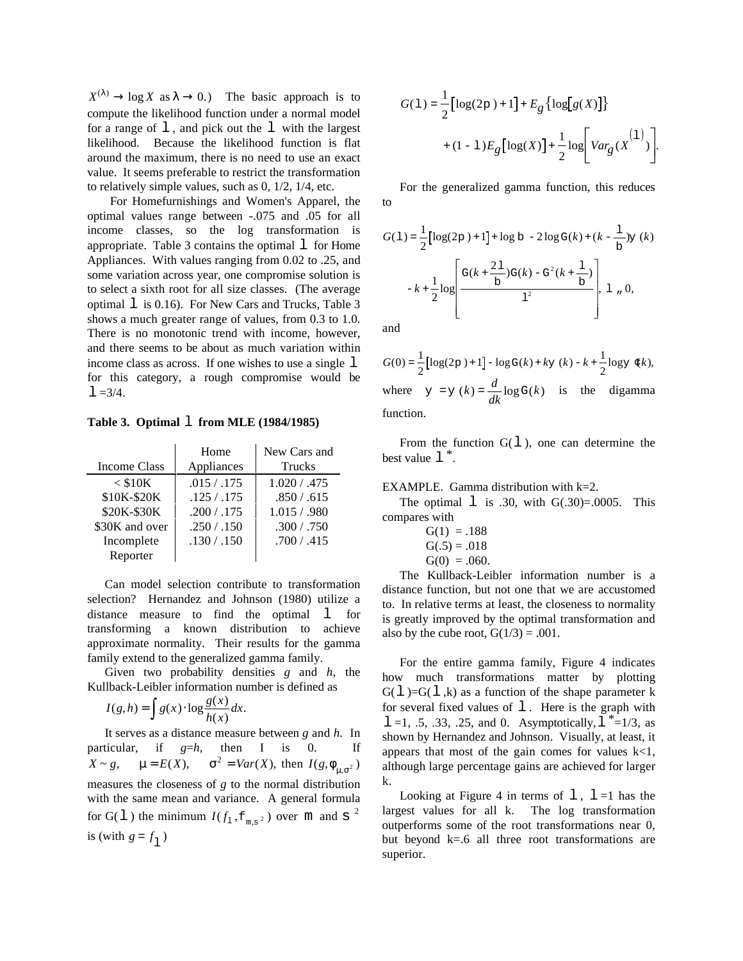$X^{(\lambda)} \rightarrow \log X$  as  $\lambda \rightarrow 0$ .) The basic approach is to compute the likelihood function under a normal model for a range of  $\perp$ , and pick out the  $\perp$  with the largest likelihood. Because the likelihood function is flat around the maximum, there is no need to use an exact value. It seems preferable to restrict the transformation to relatively simple values, such as 0, 1/2, 1/4, etc.

 For Homefurnishings and Women's Apparel, the optimal values range between -.075 and .05 for all income classes, so the log transformation is appropriate. Table 3 contains the optimal  $\perp$  for Home Appliances. With values ranging from 0.02 to .25, and some variation across year, one compromise solution is to select a sixth root for all size classes. (The average optimal  $\perp$  is 0.16). For New Cars and Trucks, Table 3 shows a much greater range of values, from 0.3 to 1.0. There is no monotonic trend with income, however, and there seems to be about as much variation within income class as across. If one wishes to use a single  $\perp$ for this category, a rough compromise would be  $1 = 3/4$ .

**Table 3. Optimal** l **from MLE (1984/1985)**

|                | Home        | New Cars and |
|----------------|-------------|--------------|
| Income Class   | Appliances  | Trucks       |
| $<$ \$10K      | .015 / .175 | 1.020 / .475 |
| \$10K-\$20K    | .125/0.175  | .850 / .615  |
| \$20K-\$30K    | .200 / .175 | 1.015/0.980  |
| \$30K and over | .250 / .150 | .300 / .750  |
| Incomplete     | .130 / .150 | .700 / .415  |
| Reporter       |             |              |

Can model selection contribute to transformation selection? Hernandez and Johnson (1980) utilize a distance measure to find the optimal 1 for transforming a known distribution to achieve approximate normality. Their results for the gamma family extend to the generalized gamma family.

Given two probability densities *g* and *h*, the

Kullback-Leibler information number is defined as  
\n
$$
I(g,h) = \int g(x) \cdot \log \frac{g(x)}{h(x)} dx.
$$

It serves as a distance measure between *g* and *h*. In particular, if  $g=h$ , then I is 0.  $X \sim g$ ,  $\mu = E(X)$ ,  $\sigma^2 = Var(X)$ , then  $I(g, \phi_{\mu, \sigma^2})$ measures the closeness of *g* to the normal distribution with the same mean and variance. A general formula for  $G(1)$  the minimum  $I(f_1, f_{m,s^2})$  over m and s <sup>2</sup> is (with  $g = f_1$ )

$$
\begin{split} G(\mathbbm{1}) = & \frac{1}{2} \Bigl[ \log(2\mathrm{p}\,) + 1 \Bigr] + E_g \left\{ \log \Bigl[g(X)\Bigr] \right\} \\ & + (1 - \mathbbm{1}) E_g \Bigl[ \log(X) \Bigr] + \frac{1}{2} \log \Biggl[ Var_g(X^{(1)}) \Bigr]. \end{split}
$$

For the generalized gamma function, this reduces to

$$
G(1) = \frac{1}{2} \left[ \log(2p) + 1 \right] + \log b - 2 \log G(k) + (k - \frac{1}{b}) y (k)
$$

$$
-k + \frac{1}{2} \log \left[ \frac{G(k + \frac{21}{b}) G(k) - G^{2}(k + \frac{1}{b})}{1^{2}} \right], 1, 0,
$$

and

$$
G(0) = \frac{1}{2} [\log(2p) + 1] - \log G(k) + ky (k) - k + \frac{1}{2} \log y (k),
$$
  
where  $y = y (k) = \frac{d}{dk} \log G(k)$  is the digamma function.

From the function  $G(1)$ , one can determine the best value  $1^*$ .

## EXAMPLE. Gamma distribution with k=2.

The optimal  $\perp$  is .30, with G(.30)=.0005. This compares with

| $G(1) = .188$  |
|----------------|
| $G(.5) = .018$ |
| $G(0) = .060.$ |

The Kullback-Leibler information number is a distance function, but not one that we are accustomed to. In relative terms at least, the closeness to normality is greatly improved by the optimal transformation and also by the cube root,  $G(1/3) = .001$ .

For the entire gamma family, Figure 4 indicates how much transformations matter by plotting  $G(1)=G(1, k)$  as a function of the shape parameter k for several fixed values of  $\perp$ . Here is the graph with 1 =1, .5, .33, .25, and 0. Asymptotically,  $1 * = 1/3$ , as shown by Hernandez and Johnson. Visually, at least, it appears that most of the gain comes for values  $k < 1$ , although large percentage gains are achieved for larger k.

Looking at Figure 4 in terms of  $l$ ,  $l = 1$  has the largest values for all k. The log transformation outperforms some of the root transformations near 0, but beyond  $k=0$  all three root transformations are superior.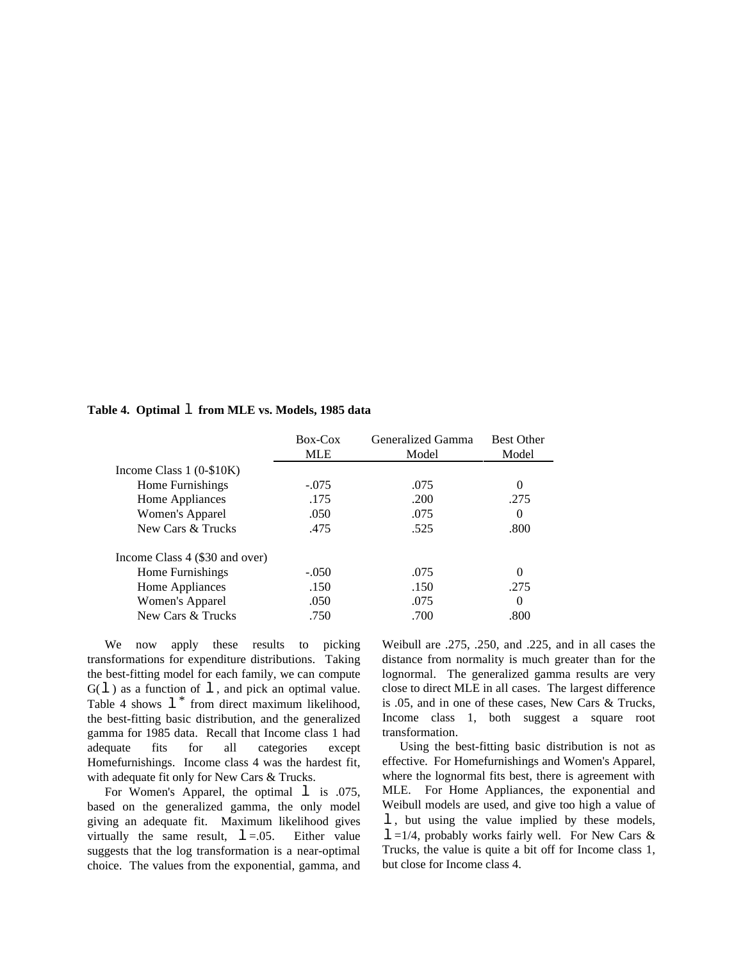## **Table 4. Optimal** l **from MLE vs. Models, 1985 data**

|                                | Box-Cox    | Generalized Gamma | <b>Best Other</b> |
|--------------------------------|------------|-------------------|-------------------|
|                                | <b>MLE</b> | Model             | Model             |
| Income Class $1(0-10K)$        |            |                   |                   |
| Home Furnishings               | $-.075$    | .075              | 0                 |
| Home Appliances                | .175       | .200              | .275              |
| Women's Apparel                | .050       | .075              | $\Omega$          |
| New Cars & Trucks              | .475       | .525              | .800              |
| Income Class 4 (\$30 and over) |            |                   |                   |
| Home Furnishings               | $-.050$    | .075              | 0                 |
| Home Appliances                | .150       | .150              | .275              |
| Women's Apparel                | .050       | .075              | 0                 |
| New Cars & Trucks              | .750       | .700              | .800              |

We now apply these results to picking transformations for expenditure distributions. Taking the best-fitting model for each family, we can compute  $G(1)$  as a function of  $1$ , and pick an optimal value. Table 4 shows  $1^*$  from direct maximum likelihood, the best-fitting basic distribution, and the generalized gamma for 1985 data. Recall that Income class 1 had adequate fits for all categories except Homefurnishings. Income class 4 was the hardest fit, with adequate fit only for New Cars & Trucks.

For Women's Apparel, the optimal 1 is .075, based on the generalized gamma, the only model giving an adequate fit. Maximum likelihood gives virtually the same result,  $l = .05$ . Either value suggests that the log transformation is a near-optimal choice. The values from the exponential, gamma, and Weibull are .275, .250, and .225, and in all cases the distance from normality is much greater than for the lognormal. The generalized gamma results are very close to direct MLE in all cases. The largest difference is .05, and in one of these cases, New Cars & Trucks, Income class 1, both suggest a square root transformation.

Using the best-fitting basic distribution is not as effective. For Homefurnishings and Women's Apparel, where the lognormal fits best, there is agreement with MLE. For Home Appliances, the exponential and Weibull models are used, and give too high a value of l , but using the value implied by these models,  $l = 1/4$ , probably works fairly well. For New Cars & Trucks, the value is quite a bit off for Income class 1, but close for Income class 4.